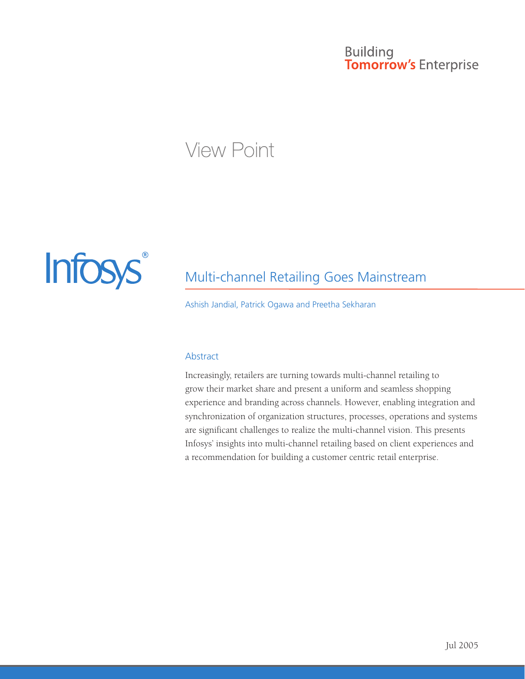# **Building Tomorrow's Enterprise**

# **View Point**



# Multi-channel Retailing Goes Mainstream

Ashish Jandial, Patrick Ogawa and Preetha Sekharan

#### **Abstract**

Increasingly, retailers are turning towards multi-channel retailing to grow their market share and present a uniform and seamless shopping experience and branding across channels. However, enabling integration and synchronization of organization structures, processes, operations and systems are significant challenges to realize the multi-channel vision. This presents Infosys' insights into multi-channel retailing based on client experiences and a recommendation for building a customer centric retail enterprise.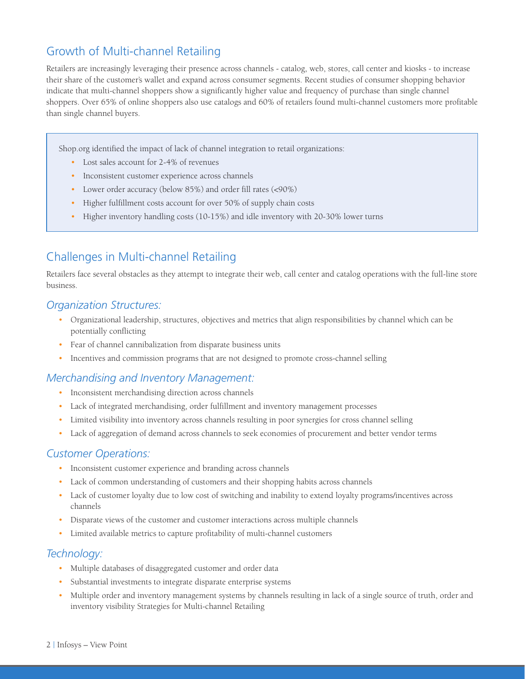# Growth of Multi-channel Retailing

Retailers are increasingly leveraging their presence across channels - catalog, web, stores, call center and kiosks - to increase their share of the customer's wallet and expand across consumer segments. Recent studies of consumer shopping behavior indicate that multi-channel shoppers show a significantly higher value and frequency of purchase than single channel shoppers. Over 65% of online shoppers also use catalogs and 60% of retailers found multi-channel customers more profitable than single channel buyers.

Shop.org identified the impact of lack of channel integration to retail organizations:

- Lost sales account for 2-4% of revenues
- Inconsistent customer experience across channels
- Lower order accuracy (below 85%) and order fill rates (<90%)
- Higher fulfillment costs account for over 50% of supply chain costs
- Higher inventory handling costs (10-15%) and idle inventory with 20-30% lower turns

# Challenges in Multi-channel Retailing

Retailers face several obstacles as they attempt to integrate their web, call center and catalog operations with the full-line store business.

#### *Organization Structures:*

- • Organizational leadership, structures, objectives and metrics that align responsibilities by channel which can be potentially conflicting
- Fear of channel cannibalization from disparate business units
- • Incentives and commission programs that are not designed to promote cross-channel selling

#### *Merchandising and Inventory Management:*

- Inconsistent merchandising direction across channels
- Lack of integrated merchandising, order fulfillment and inventory management processes
- • Limited visibility into inventory across channels resulting in poor synergies for cross channel selling
- Lack of aggregation of demand across channels to seek economies of procurement and better vendor terms

#### *Customer Operations:*

- Inconsistent customer experience and branding across channels
- • Lack of common understanding of customers and their shopping habits across channels
- • Lack of customer loyalty due to low cost of switching and inability to extend loyalty programs/incentives across channels
- Disparate views of the customer and customer interactions across multiple channels
- Limited available metrics to capture profitability of multi-channel customers

#### *Technology:*

- Multiple databases of disaggregated customer and order data
- Substantial investments to integrate disparate enterprise systems
- Multiple order and inventory management systems by channels resulting in lack of a single source of truth, order and inventory visibility Strategies for Multi-channel Retailing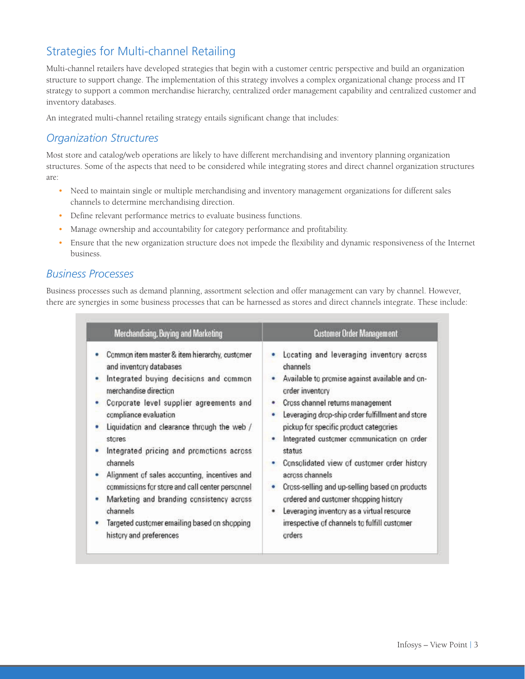# Strategies for Multi-channel Retailing

Multi-channel retailers have developed strategies that begin with a customer centric perspective and build an organization structure to support change. The implementation of this strategy involves a complex organizational change process and IT strategy to support a common merchandise hierarchy, centralized order management capability and centralized customer and inventory databases.

An integrated multi-channel retailing strategy entails significant change that includes:

### *Organization Structures*

Most store and catalog/web operations are likely to have different merchandising and inventory planning organization structures. Some of the aspects that need to be considered while integrating stores and direct channel organization structures are:

- Need to maintain single or multiple merchandising and inventory management organizations for different sales channels to determine merchandising direction.
- Define relevant performance metrics to evaluate business functions.
- Manage ownership and accountability for category performance and profitability.
- • Ensure that the new organization structure does not impede the flexibility and dynamic responsiveness of the Internet business.

#### *Business Processes*

Business processes such as demand planning, assortment selection and offer management can vary by channel. However, there are synergies in some business processes that can be harnessed as stores and direct channels integrate. These include:

| Merchandising. Buying and Marketing                                                                                                                                                                                                                                                                                                                                                                                                                                                                                                                                      | <b>Customer Order Management</b>                                                                                                                                                                                                                                                                                                                                                                                                                                                                                                                                                                        |
|--------------------------------------------------------------------------------------------------------------------------------------------------------------------------------------------------------------------------------------------------------------------------------------------------------------------------------------------------------------------------------------------------------------------------------------------------------------------------------------------------------------------------------------------------------------------------|---------------------------------------------------------------------------------------------------------------------------------------------------------------------------------------------------------------------------------------------------------------------------------------------------------------------------------------------------------------------------------------------------------------------------------------------------------------------------------------------------------------------------------------------------------------------------------------------------------|
| Common item master & item hierarchy, customer<br>and inventory databases<br>Integrated buying decisions and common<br>merchandise direction<br>Corporate level supplier agreements and<br>compliance evaluation<br>Liquidation and clearance through the web /<br>stores<br>Integrated pricing and promotions across<br>channels<br>Alignment of sales accounting, incentives and<br>commissions for store and call center personnel<br>Marketing and branding consistency across<br>channels<br>Targeted customer emailing based on shopping<br>history and preferences | Locating and leveraging inventory across<br>channels<br>Available to promise against available and on-<br>order inventory<br>Cross channel returns management<br>۰<br>Leveraging drop-ship order fulfillment and store<br>pickup for specific product categories<br>Integrated customer communication on order<br>status<br>Consolidated view of customer order history<br>٠<br>across channels<br>Cross-selling and up-selling based on products<br>ordered and customer shopping history<br>Leveraging inventory as a virtual resource<br>٠<br>irrespective of channels to fulfill customer<br>orders |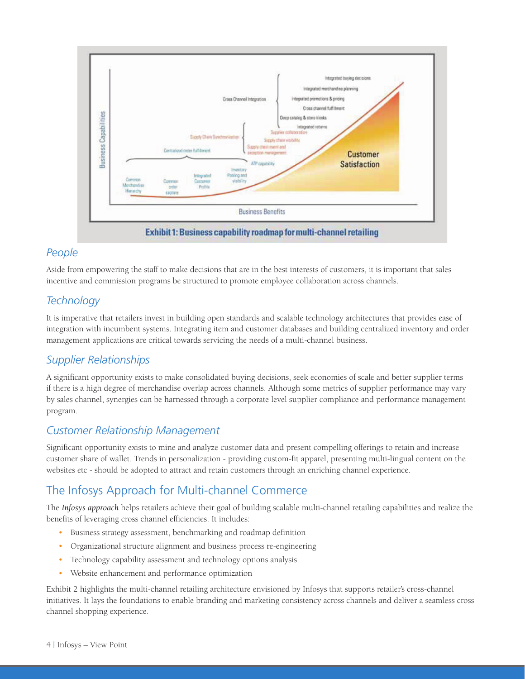

#### *People*

Aside from empowering the staff to make decisions that are in the best interests of customers, it is important that sales incentive and commission programs be structured to promote employee collaboration across channels.

# *Technology*

It is imperative that retailers invest in building open standards and scalable technology architectures that provides ease of integration with incumbent systems. Integrating item and customer databases and building centralized inventory and order management applications are critical towards servicing the needs of a multi-channel business.

# *Supplier Relationships*

A significant opportunity exists to make consolidated buying decisions, seek economies of scale and better supplier terms if there is a high degree of merchandise overlap across channels. Although some metrics of supplier performance may vary by sales channel, synergies can be harnessed through a corporate level supplier compliance and performance management program.

#### *Customer Relationship Management*

Significant opportunity exists to mine and analyze customer data and present compelling offerings to retain and increase customer share of wallet. Trends in personalization - providing custom-fit apparel, presenting multi-lingual content on the websites etc - should be adopted to attract and retain customers through an enriching channel experience.

# The Infosys Approach for Multi-channel Commerce

The *Infosys approach* helps retailers achieve their goal of building scalable multi-channel retailing capabilities and realize the benefits of leveraging cross channel efficiencies. It includes:

- Business strategy assessment, benchmarking and roadmap definition
- Organizational structure alignment and business process re-engineering
- Technology capability assessment and technology options analysis
- • Website enhancement and performance optimization

Exhibit 2 highlights the multi-channel retailing architecture envisioned by Infosys that supports retailer's cross-channel initiatives. It lays the foundations to enable branding and marketing consistency across channels and deliver a seamless cross channel shopping experience.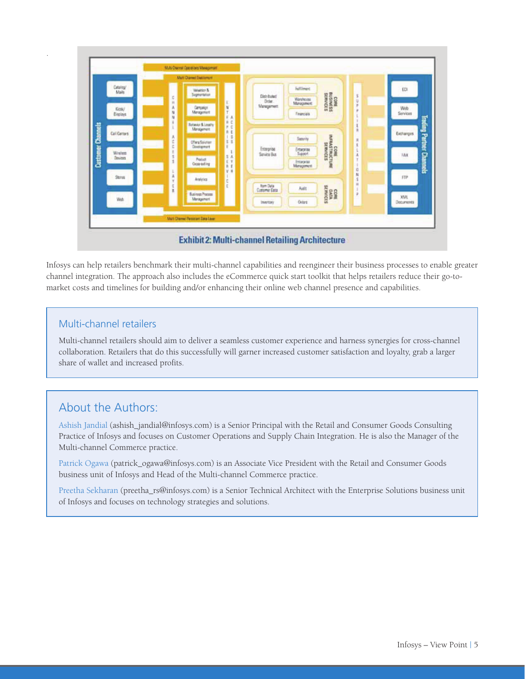

Infosys can help retailers benchmark their multi-channel capabilities and reengineer their business processes to enable greater channel integration. The approach also includes the eCommerce quick start toolkit that helps retailers reduce their go-tomarket costs and timelines for building and/or enhancing their online web channel presence and capabilities.

#### Multi-channel retailers

.

Multi-channel retailers should aim to deliver a seamless customer experience and harness synergies for cross-channel collaboration. Retailers that do this successfully will garner increased customer satisfaction and loyalty, grab a larger share of wallet and increased profits.

# About the Authors:

Ashish Jandial (ashish\_jandial@infosys.com) is a Senior Principal with the Retail and Consumer Goods Consulting Practice of Infosys and focuses on Customer Operations and Supply Chain Integration. He is also the Manager of the Multi-channel Commerce practice.

Patrick Ogawa (patrick\_ogawa@infosys.com) is an Associate Vice President with the Retail and Consumer Goods business unit of Infosys and Head of the Multi-channel Commerce practice.

Preetha Sekharan (preetha\_rs@infosys.com) is a Senior Technical Architect with the Enterprise Solutions business unit of Infosys and focuses on technology strategies and solutions.